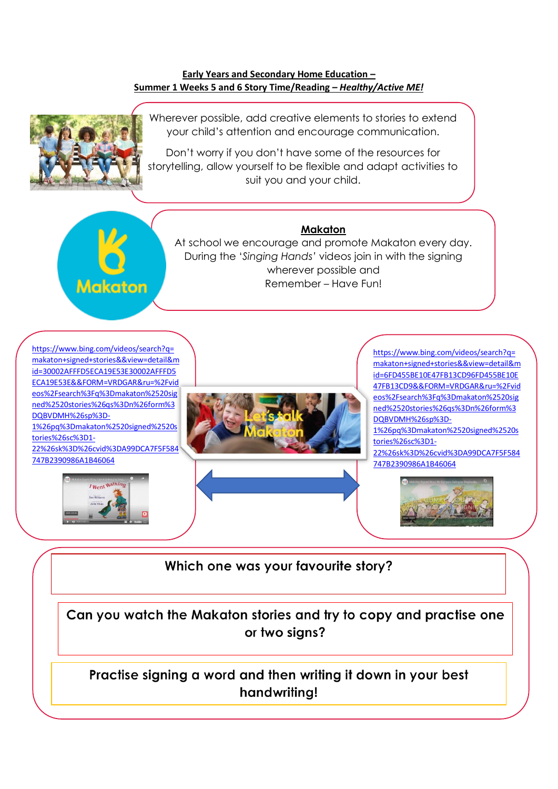#### **Early Years and Secondary Home Education – Summer 1 Weeks 5 and 6 Story Time/Reading –** *Healthy/Active ME!*



**Makaton** 

Wherever possible, add creative elements to stories to extend your child's attention and encourage communication.

Don't worry if you don't have some of the resources for storytelling, allow yourself to be flexible and adapt activities to suit you and your child.



At school we encourage and promote Makaton every day. During the '*Singing Hands'* videos join in with the signing wherever possible and Remember – Have Fun!



Which one was your favourite story?

Can you watch the Makaton stories and try to copy and practise one or two sians?

# Practise signing a word and then writing it down in your best handwriting!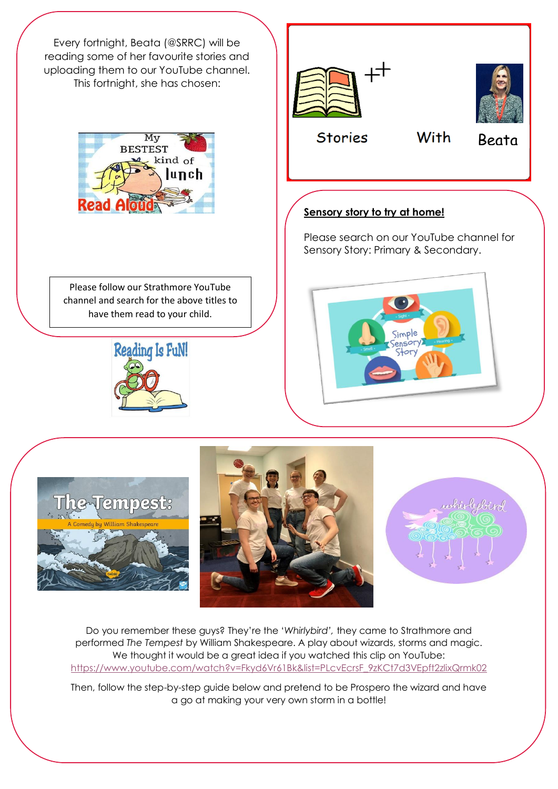

Do you remember these guys? They're the '*Whirlybird',* they came to Strathmore and performed *The Tempest* by William Shakespeare. A play about wizards, storms and magic. We thought it would be a great idea if you watched this clip on YouTube: [https://www.youtube.com/watch?v=Fkyd6Vr61Bk&list=PLcvEcrsF\\_9zKCt7d3VEpft2zlixQrmk02](https://www.youtube.com/watch?v=Fkyd6Vr61Bk&list=PLcvEcrsF_9zKCt7d3VEpft2zlixQrmk02)

Then, follow the step-by-step guide below and pretend to be Prospero the wizard and have a go at making your very own storm in a bottle!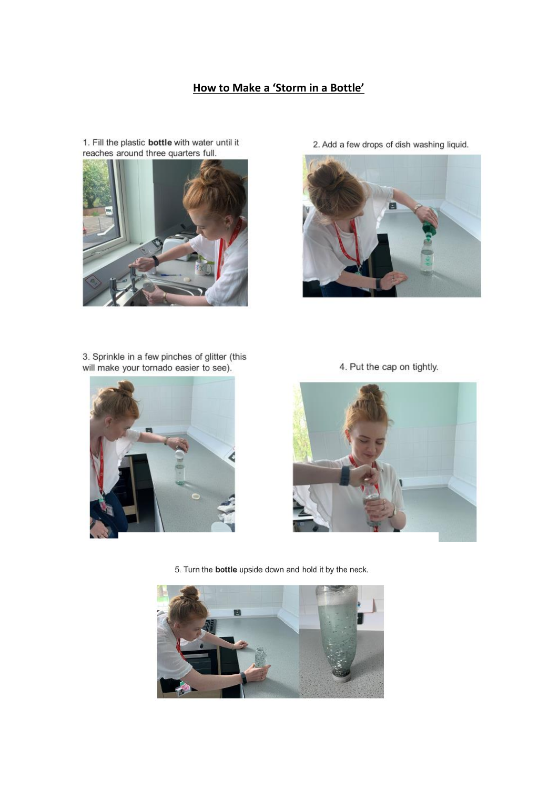### How to Make a 'Storm in a Bottle'



1. Fill the plastic **bottle** with water until it reaches around three quarters full.

2. Add a few drops of dish washing liquid.



3. Sprinkle in a few pinches of glitter (this will make your tornado easier to see).



4. Put the cap on tightly.



5. Turn the **bottle** upside down and hold it by the neck.